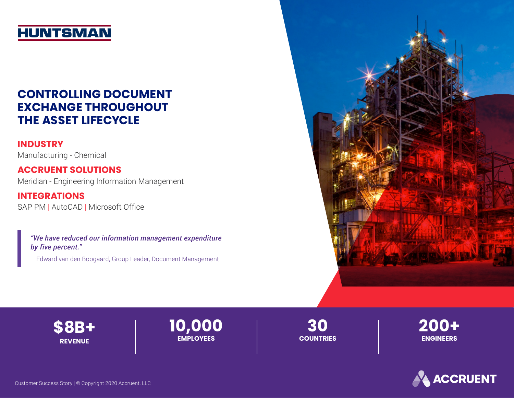# **HUNTSMAN**

## **CONTROLLING DOCUMENT EXCHANGE THROUGHOUT THE ASSET LIFECYCLE**

### **INDUSTRY**

Manufacturing - Chemical

## **ACCRUENT SOLUTIONS**

Meridian - Engineering Information Management

#### **INTEGRATIONS** SAP PM | AutoCAD | Microsoft Office

*"We have reduced our information management expenditure by five percent."*

– Edward van den Boogaard, Group Leader, Document Management





**10,000 EMPLOYEES**

**30 COUNTRIES** **200+ ENGINEERS**